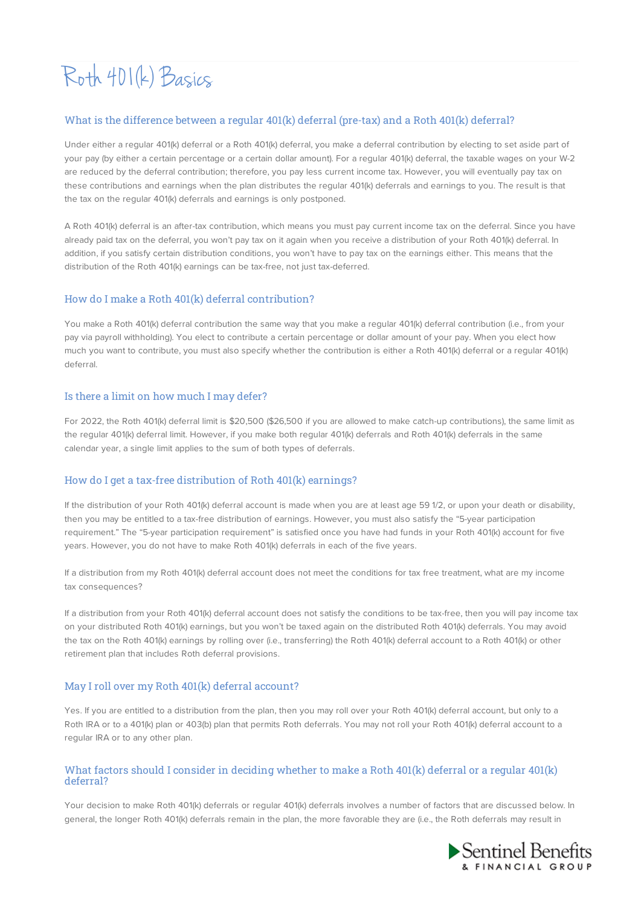# Roth 401(k) Basics

## What is the difference between a regular 401(k) deferral (pre-tax) and a Roth 401(k) deferral?

Under either a regular 401(k) deferral or a Roth 401(k) deferral, you make a deferral contribution by electing to set aside part of your pay (by either a certain percentage or a certain dollar amount). For a regular 401(k) deferral, the taxable wages on your W-2 are reduced by the deferral contribution; therefore, you pay less current income tax. However, you will eventually pay tax on these contributions and earnings when the plan distributes the regular 401(k) deferrals and earnings to you. The result is that the tax on the regular 401(k) deferrals and earnings is only postponed.

A Roth 401(k) deferral is an after-tax contribution, which means you must pay current income tax on the deferral. Since you have already paid tax on the deferral, you won't pay tax on it again when you receive a distribution of your Roth 401(k) deferral. In addition, if you satisfy certain distribution conditions, you won't have to pay tax on the earnings either. This means that the distribution of the Roth 401(k) earnings can be tax-free, not just tax-deferred.

## How do I make a Roth 401(k) deferral contribution?

You make a Roth 401(k) deferral contribution the same way that you make a regular 401(k) deferral contribution (i.e., from your pay via payroll withholding). You elect to contribute a certain percentage or dollar amount of your pay. When you elect how much you want to contribute, you must also specify whether the contribution is either a Roth 401(k) deferral or a regular 401(k) deferral.

## Is there a limit on how much I may defer?

For 2022, the Roth 401(k) deferral limit is \$20,500 (\$26,500 if you are allowed to make catch-up contributions), the same limit as the regular 401(k) deferral limit. However, if you make both regular 401(k) deferrals and Roth 401(k) deferrals in the same calendar year, a single limit applies to the sum of both types of deferrals.

# How do I get a tax-free distribution of Roth 401(k) earnings?

If the distribution of your Roth 401(k) deferral account is made when you are at least age 59 1/2, or upon your death or disability, then you may be entitled to a tax-free distribution of earnings. However, you must also satisfy the "5-year participation requirement." The "5-year participation requirement" is satisfied once you have had funds in your Roth 401(k) account for five years. However, you do not have to make Roth 401(k) deferrals in each of the five years.

If a distribution from my Roth 401(k) deferral account does not meet the conditions for tax free treatment, what are my income tax consequences?

If a distribution from your Roth 401(k) deferral account does not satisfy the conditions to be tax-free, then you will pay income tax on your distributed Roth 401(k) earnings, but you won't be taxed again on the distributed Roth 401(k) deferrals. You may avoid the tax on the Roth 401(k) earnings by rolling over (i.e., transferring) the Roth 401(k) deferral account to a Roth 401(k) or other retirement plan that includes Roth deferral provisions.

# May I roll over my Roth 401(k) deferral account?

Yes. If you are entitled to a distribution from the plan, then you may roll over your Roth 401(k) deferral account, but only to a Roth IRA or to a 401(k) plan or 403(b) plan that permits Roth deferrals. You may not roll your Roth 401(k) deferral account to a regular IRA or to any other plan.

## What factors should I consider in deciding whether to make a Roth 401(k) deferral or a regular 401(k) deferral?

Your decision to make Roth 401(k) deferrals or regular 401(k) deferrals involves a number of factors that are discussed below. In general, the longer Roth 401(k) deferrals remain in the plan, the more favorable they are (i.e., the Roth deferrals may result in